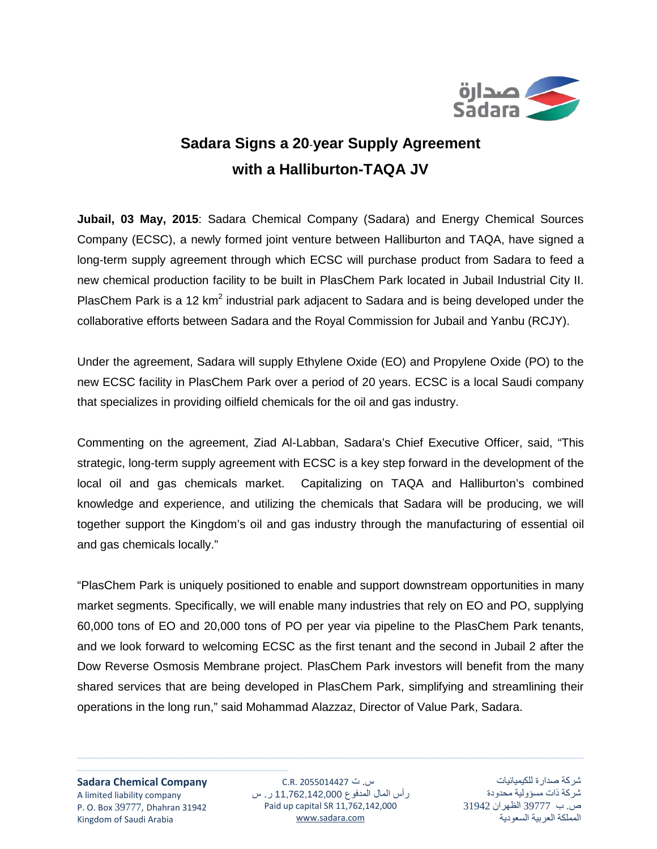

## **Sadara Signs a 20**-**year Supply Agreement with a Halliburton-TAQA JV**

**Jubail, 03 May, 2015**: Sadara Chemical Company (Sadara) and Energy Chemical Sources Company (ECSC), a newly formed joint venture between Halliburton and TAQA, have signed a long-term supply agreement through which ECSC will purchase product from Sadara to feed a new chemical production facility to be built in PlasChem Park located in Jubail Industrial City II. PlasChem Park is a 12  $km^2$  industrial park adjacent to Sadara and is being developed under the collaborative efforts between Sadara and the Royal Commission for Jubail and Yanbu (RCJY).

Under the agreement, Sadara will supply Ethylene Oxide (EO) and Propylene Oxide (PO) to the new ECSC facility in PlasChem Park over a period of 20 years. ECSC is a local Saudi company that specializes in providing oilfield chemicals for the oil and gas industry.

Commenting on the agreement, Ziad Al-Labban, Sadara's Chief Executive Officer, said, "This strategic, long-term supply agreement with ECSC is a key step forward in the development of the local oil and gas chemicals market. Capitalizing on TAQA and Halliburton's combined knowledge and experience, and utilizing the chemicals that Sadara will be producing, we will together support the Kingdom's oil and gas industry through the manufacturing of essential oil and gas chemicals locally."

"PlasChem Park is uniquely positioned to enable and support downstream opportunities in many market segments. Specifically, we will enable many industries that rely on EO and PO, supplying 60,000 tons of EO and 20,000 tons of PO per year via pipeline to the PlasChem Park tenants, and we look forward to welcoming ECSC as the first tenant and the second in Jubail 2 after the Dow Reverse Osmosis Membrane project. PlasChem Park investors will benefit from the many shared services that are being developed in PlasChem Park, simplifying and streamlining their operations in the long run," said Mohammad Alazzaz, Director of Value Park, Sadara.

**Sadara Chemical Company** A limited liability company P. O. Box 39777, Dhahran 31942 Kingdom of Saudi Arabia

ـــــــــــــــــــــــــــــــــــــــــــــــــــــــــــــــــــــــــــــــــــــــــــــــ

س. ت 2055014427 .R.C رأس المال المدفوع 11,762,142,000 ر. س Paid up capital SR 11,762,142,000 [www.sadara.com](http://www.sadara.com/)

<u> 1989 - Andrea Santa Andrea Andrea Andrea Andrea Andrea Andrea Andrea Andrea Andrea Andrea Andrea Andrea Andr</u>

شركة صدارة للكيميائيات شركة ذات مسؤولية محدودة ص. ب 39777 الظهران 31942 المملكة العربية السعودية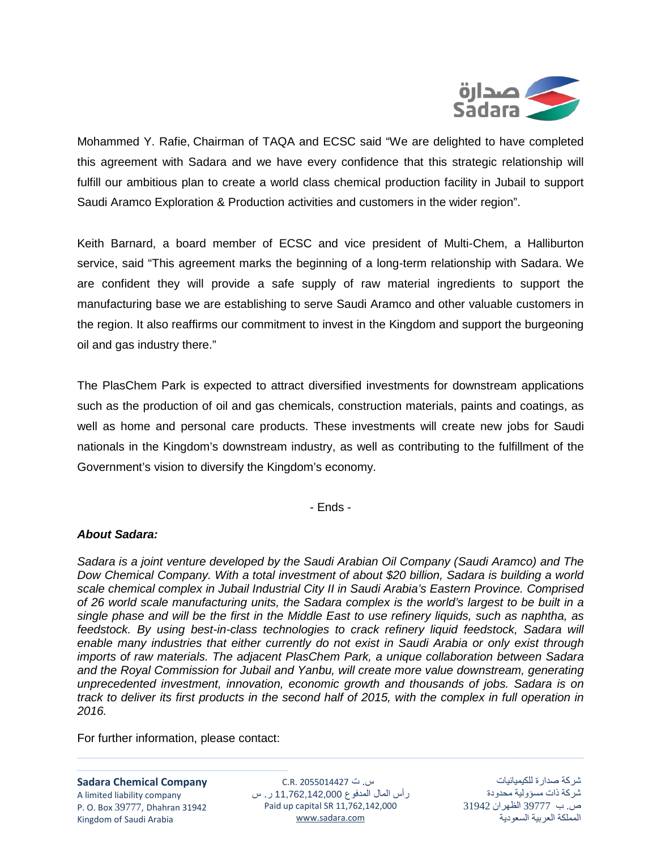

Mohammed Y. Rafie, Chairman of TAQA and ECSC said "We are delighted to have completed this agreement with Sadara and we have every confidence that this strategic relationship will fulfill our ambitious plan to create a world class chemical production facility in Jubail to support Saudi Aramco Exploration & Production activities and customers in the wider region".

Keith Barnard, a board member of ECSC and vice president of Multi-Chem, a Halliburton service, said "This agreement marks the beginning of a long-term relationship with Sadara. We are confident they will provide a safe supply of raw material ingredients to support the manufacturing base we are establishing to serve Saudi Aramco and other valuable customers in the region. It also reaffirms our commitment to invest in the Kingdom and support the burgeoning oil and gas industry there."

The PlasChem Park is expected to attract diversified investments for downstream applications such as the production of oil and gas chemicals, construction materials, paints and coatings, as well as home and personal care products. These investments will create new jobs for Saudi nationals in the Kingdom's downstream industry, as well as contributing to the fulfillment of the Government's vision to diversify the Kingdom's economy.

- Ends -

## *About Sadara:*

*Sadara is a joint venture developed by the Saudi Arabian Oil Company (Saudi Aramco) and The Dow Chemical Company. With a total investment of about \$20 billion, Sadara is building a world scale chemical complex in Jubail Industrial City II in Saudi Arabia's Eastern Province. Comprised of 26 world scale manufacturing units, the Sadara complex is the world's largest to be built in a single phase and will be the first in the Middle East to use refinery liquids, such as naphtha, as feedstock. By using best-in-class technologies to crack refinery liquid feedstock, Sadara will enable many industries that either currently do not exist in Saudi Arabia or only exist through imports of raw materials. The adjacent PlasChem Park, a unique collaboration between Sadara and the Royal Commission for Jubail and Yanbu, will create more value downstream, generating unprecedented investment, innovation, economic growth and thousands of jobs. Sadara is on track to deliver its first products in the second half of 2015, with the complex in full operation in 2016.* 

For further information, please contact:

ـــــــــــــــــــــــــــــــــــــــــــــــــــــــــــــــــــــــــــــــــــــــــــــــ

**Sadara Chemical Company** A limited liability company P. O. Box 39777, Dhahran 31942 Kingdom of Saudi Arabia

س. ت 2055014427 .R.C رأس المال المدفوع 11,762,142,000 ر. س Paid up capital SR 11,762,142,000 [www.sadara.com](http://www.sadara.com/)

<u> 1989 - Andrea Santa Andrea Andrea Andrea Andrea Andrea Andrea Andrea Andrea Andrea Andrea Andrea Andrea Andr</u>

شركة صدارة للكيميائيات شركة ذات مسؤولية محدودة ص. ب 39777 الظهران 31942 المملكة العربية السعودية